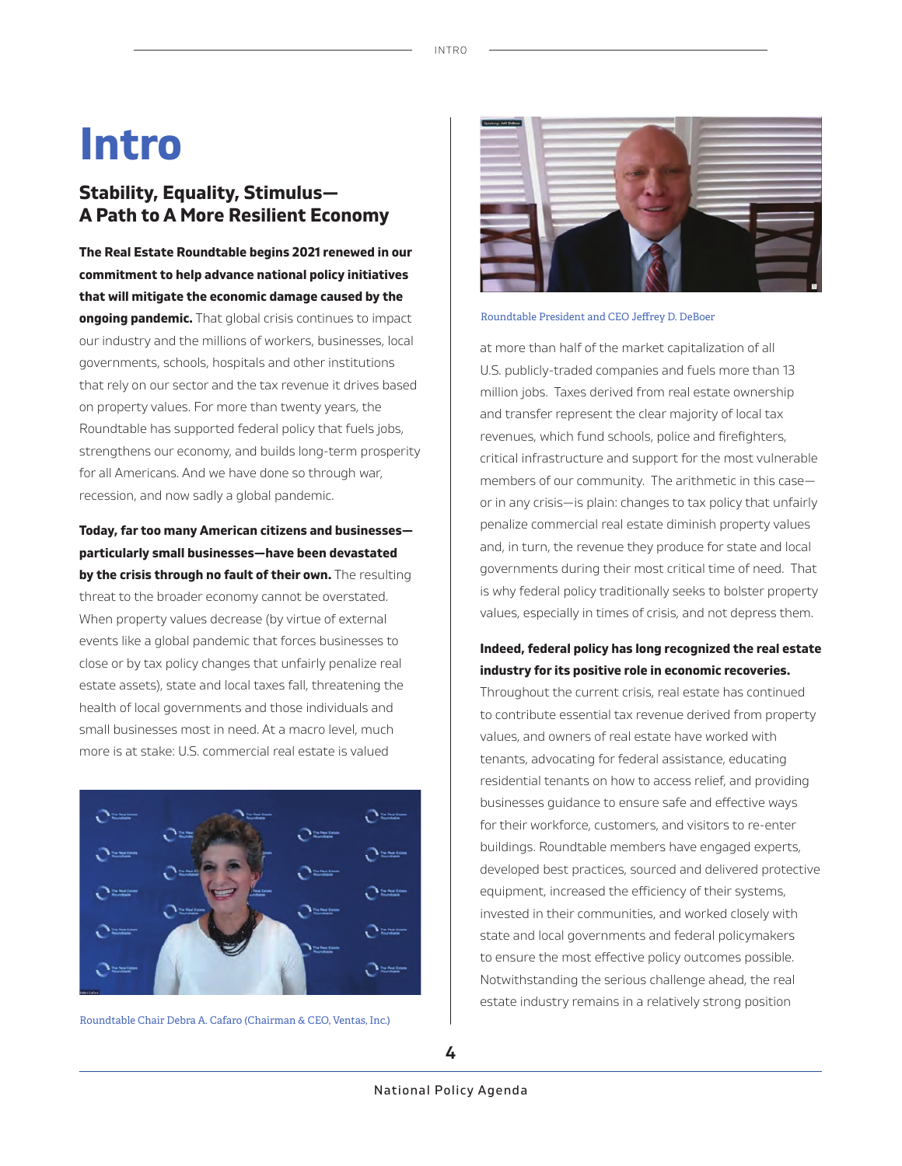# **Intro**

# **Stability, Equality, Stimulus — A Path to A More Resilient Economy**

**The Real Estate Roundtable begins 2021 renewed in our commitment to help advance national policy initiatives that will mitigate the economic damage caused by the ongoing pandemic.** That global crisis continues to impact our industry and the millions of workers, businesses, local governments, schools, hospitals and other institutions that rely on our sector and the tax revenue it drives based on property values. For more than twenty years, the Roundtable has supported federal policy that fuels jobs, strengthens our economy, and builds long-term prosperity for all Americans. And we have done so through war, recession, and now sadly a global pandemic.

**Today, far too many American citizens and businesses particularly small businesses—have been devastated**  by the crisis through no fault of their own. The resulting threat to the broader economy cannot be overstated. When property values decrease (by virtue of external events like a global pandemic that forces businesses to close or by tax policy changes that unfairly penalize real estate assets), state and local taxes fall, threatening the health of local governments and those individuals and

small businesses most in need. At a macro level, much more is at stake: U.S. commercial real estate is valued



Roundtable Chair Debra A. Cafaro (Chairman & CEO, Ventas, Inc.)



#### Roundtable President and CEO Jeffrey D. DeBoer

at more than half of the market capitalization of all U.S. publicly-traded companies and fuels more than 13 million jobs. Taxes derived from real estate ownership and transfer represent the clear majority of local tax revenues, which fund schools, police and firefighters, critical infrastructure and support for the most vulnerable members of our community. The arithmetic in this case or in any crisis—is plain: changes to tax policy that unfairly penalize commercial real estate diminish property values and, in turn, the revenue they produce for state and local governments during their most critical time of need. That is why federal policy traditionally seeks to bolster property values, especially in times of crisis, and not depress them.

## **Indeed, federal policy has long recognized the real estate industry for its positive role in economic recoveries.**

Throughout the current crisis, real estate has continued to contribute essential tax revenue derived from property values, and owners of real estate have worked with tenants, advocating for federal assistance, educating residential tenants on how to access relief, and providing businesses guidance to ensure safe and effective ways for their workforce, customers, and visitors to re-enter buildings. Roundtable members have engaged experts, developed best practices, sourced and delivered protective equipment, increased the efficiency of their systems, invested in their communities, and worked closely with state and local governments and federal policymakers to ensure the most effective policy outcomes possible. Notwithstanding the serious challenge ahead, the real estate industry remains in a relatively strong position